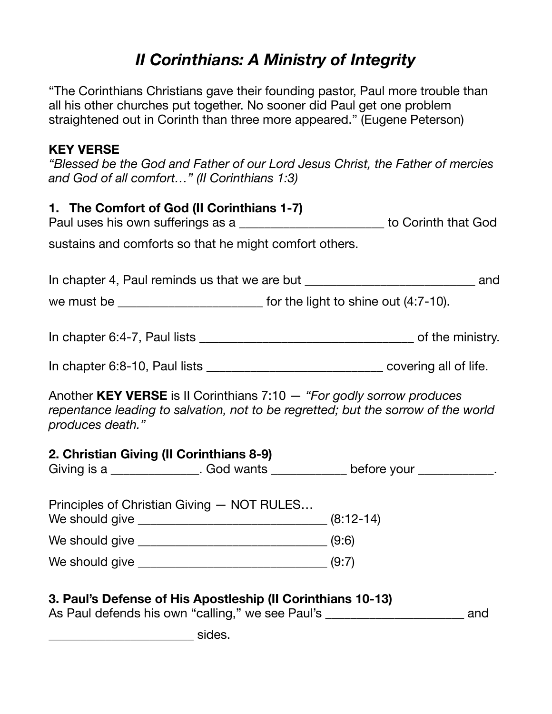## *II Corinthians: A Ministry of Integrity*

"The Corinthians Christians gave their founding pastor, Paul more trouble than all his other churches put together. No sooner did Paul get one problem straightened out in Corinth than three more appeared." (Eugene Peterson)

## **KEY VERSE**

*"Blessed be the God and Father of our Lord Jesus Christ, the Father of mercies and God of all comfort…" (II Corinthians 1:3)* 

| 1. The Comfort of God (II Corinthians 1-7)                                                                      | Paul uses his own sufferings as a ___________________________ to Corinth that God |                                                                                                                                                            |     |
|-----------------------------------------------------------------------------------------------------------------|-----------------------------------------------------------------------------------|------------------------------------------------------------------------------------------------------------------------------------------------------------|-----|
| sustains and comforts so that he might comfort others.                                                          |                                                                                   |                                                                                                                                                            |     |
|                                                                                                                 |                                                                                   | In chapter 4, Paul reminds us that we are but __________________________________ and                                                                       |     |
| we must be ________________________________ for the light to shine out (4:7-10).                                |                                                                                   |                                                                                                                                                            |     |
|                                                                                                                 |                                                                                   |                                                                                                                                                            |     |
|                                                                                                                 |                                                                                   |                                                                                                                                                            |     |
| produces death."                                                                                                |                                                                                   | Another KEY VERSE is II Corinthians 7:10 - "For godly sorrow produces<br>repentance leading to salvation, not to be regretted; but the sorrow of the world |     |
| 2. Christian Giving (II Corinthians 8-9)                                                                        |                                                                                   | Giving is a ________________. God wants _____________ before your ____________.                                                                            |     |
| Principles of Christian Giving - NOT RULES                                                                      |                                                                                   |                                                                                                                                                            |     |
|                                                                                                                 |                                                                                   |                                                                                                                                                            |     |
|                                                                                                                 |                                                                                   |                                                                                                                                                            |     |
| 3. Paul's Defense of His Apostleship (Il Corinthians 10-13)<br>As Paul defends his own "calling," we see Paul's |                                                                                   |                                                                                                                                                            | and |

sides.